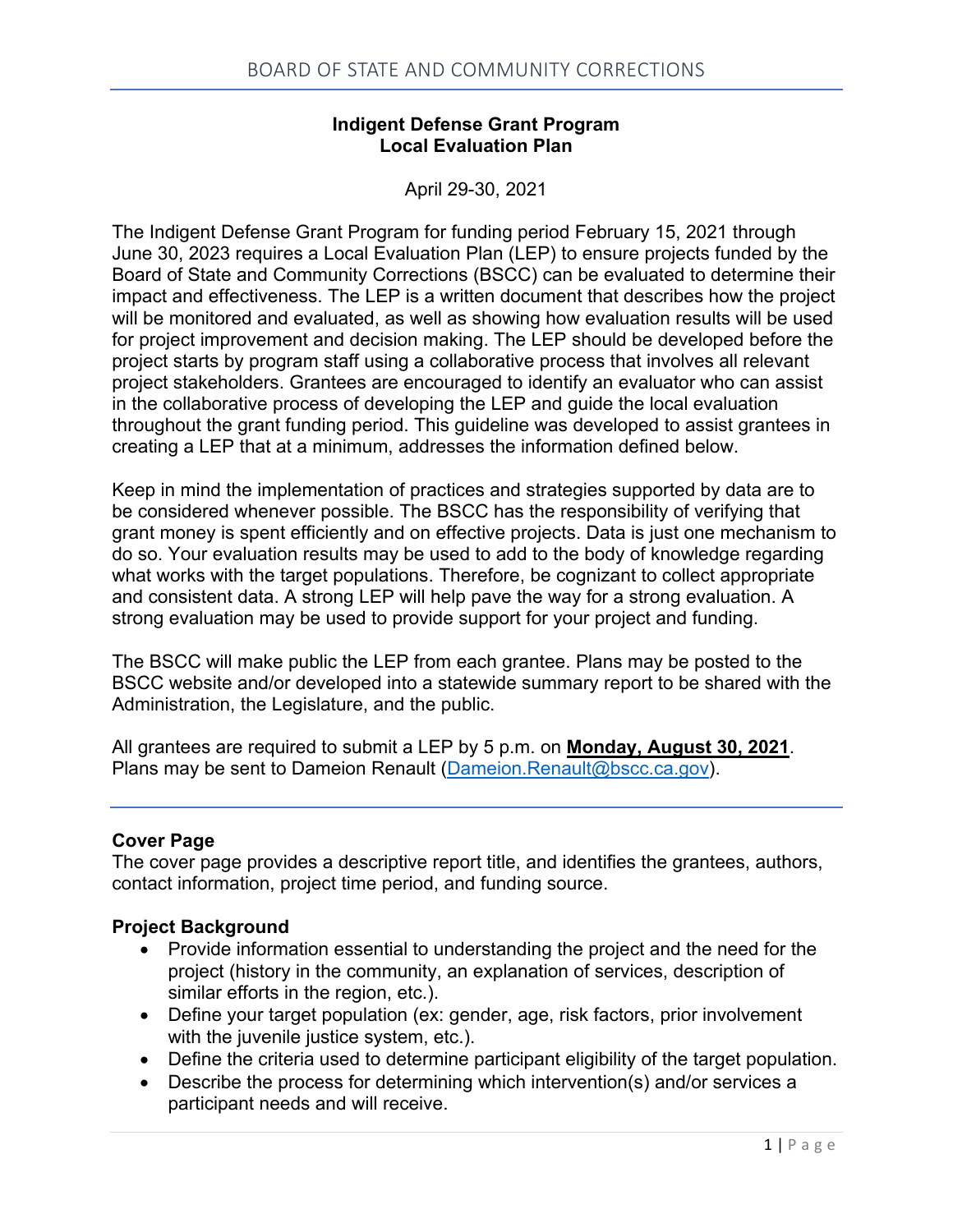### **Indigent Defense Grant Program Local Evaluation Plan**

April 29-30, 2021

The Indigent Defense Grant Program for funding period February 15, 2021 through June 30, 2023 requires a Local Evaluation Plan (LEP) to ensure projects funded by the Board of State and Community Corrections (BSCC) can be evaluated to determine their impact and effectiveness. The LEP is a written document that describes how the project will be monitored and evaluated, as well as showing how evaluation results will be used for project improvement and decision making. The LEP should be developed before the project starts by program staff using a collaborative process that involves all relevant project stakeholders. Grantees are encouraged to identify an evaluator who can assist in the collaborative process of developing the LEP and guide the local evaluation throughout the grant funding period. This guideline was developed to assist grantees in creating a LEP that at a minimum, addresses the information defined below.

Keep in mind the implementation of practices and strategies supported by data are to be considered whenever possible. The BSCC has the responsibility of verifying that grant money is spent efficiently and on effective projects. Data is just one mechanism to do so. Your evaluation results may be used to add to the body of knowledge regarding what works with the target populations. Therefore, be cognizant to collect appropriate and consistent data. A strong LEP will help pave the way for a strong evaluation. A strong evaluation may be used to provide support for your project and funding.

The BSCC will make public the LEP from each grantee. Plans may be posted to the BSCC website and/or developed into a statewide summary report to be shared with the Administration, the Legislature, and the public.

All grantees are required to submit a LEP by 5 p.m. on **Monday, August 30, 2021**. Plans may be sent to Dameion Renault [\(Dameion.Renault@bscc.ca.gov\)](mailto:Dameion.Renault@bscc.ca.gov).

#### **Cover Page**

The cover page provides a descriptive report title, and identifies the grantees, authors, contact information, project time period, and funding source.

#### **Project Background**

- Provide information essential to understanding the project and the need for the project (history in the community, an explanation of services, description of similar efforts in the region, etc.).
- Define your target population (ex: gender, age, risk factors, prior involvement with the juvenile justice system, etc.).
- Define the criteria used to determine participant eligibility of the target population.
- Describe the process for determining which intervention(s) and/or services a participant needs and will receive.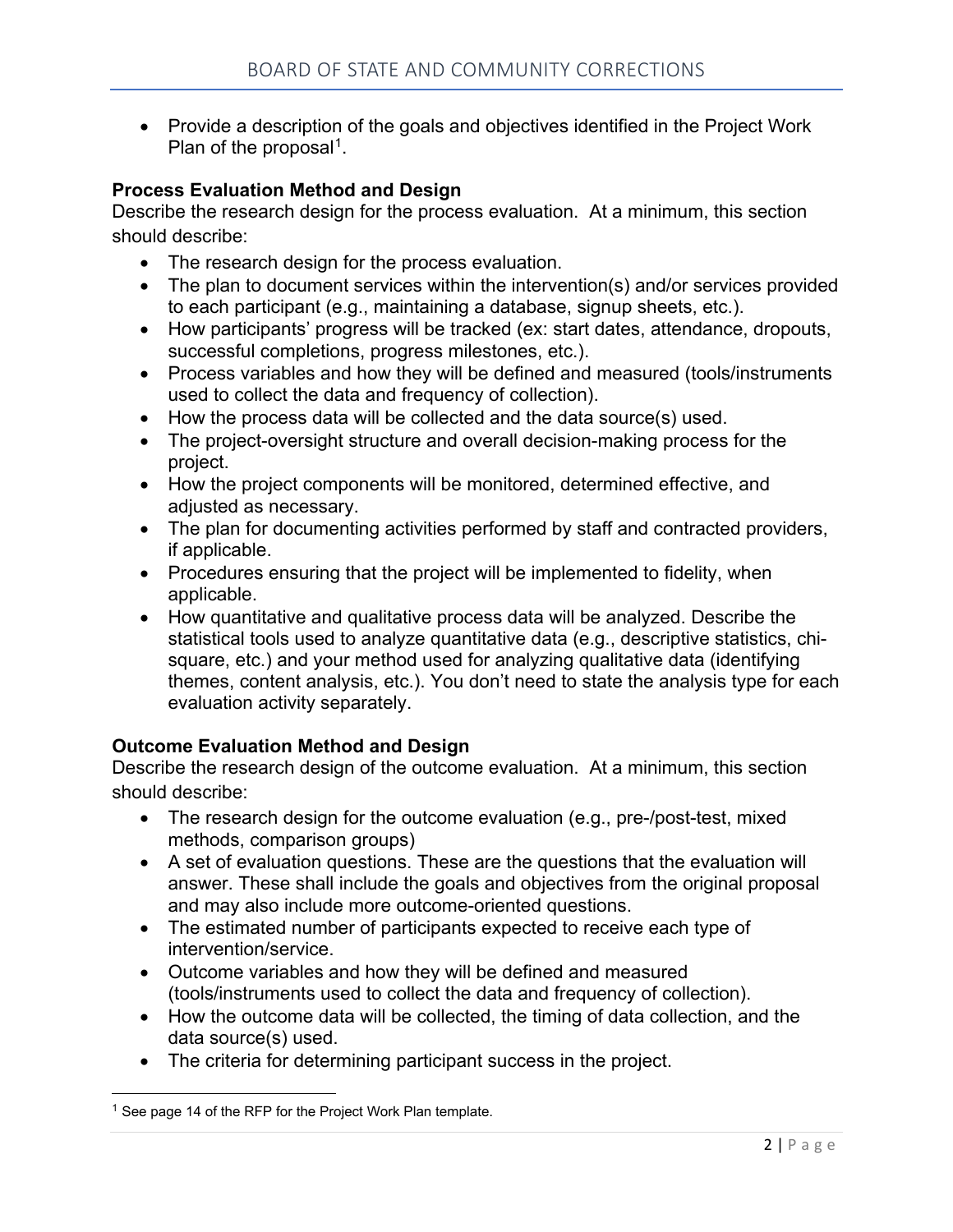• Provide a description of the goals and objectives identified in the Project Work Plan of the proposal<sup>1</sup>.

### **Process Evaluation Method and Design**

Describe the research design for the process evaluation. At a minimum, this section should describe:

- The research design for the process evaluation.
- The plan to document services within the intervention(s) and/or services provided to each participant (e.g., maintaining a database, signup sheets, etc.).
- How participants' progress will be tracked (ex: start dates, attendance, dropouts, successful completions, progress milestones, etc.).
- Process variables and how they will be defined and measured (tools/instruments used to collect the data and frequency of collection).
- How the process data will be collected and the data source(s) used.
- The project-oversight structure and overall decision-making process for the project.
- How the project components will be monitored, determined effective, and adjusted as necessary.
- The plan for documenting activities performed by staff and contracted providers, if applicable.
- Procedures ensuring that the project will be implemented to fidelity, when applicable.
- How quantitative and qualitative process data will be analyzed. Describe the statistical tools used to analyze quantitative data (e.g., descriptive statistics, chisquare, etc.) and your method used for analyzing qualitative data (identifying themes, content analysis, etc.). You don't need to state the analysis type for each evaluation activity separately.

#### **Outcome Evaluation Method and Design**

Describe the research design of the outcome evaluation. At a minimum, this section should describe:

- The research design for the outcome evaluation (e.g., pre-/post-test, mixed methods, comparison groups)
- A set of evaluation questions. These are the questions that the evaluation will answer. These shall include the goals and objectives from the original proposal and may also include more outcome-oriented questions.
- The estimated number of participants expected to receive each type of intervention/service.
- Outcome variables and how they will be defined and measured (tools/instruments used to collect the data and frequency of collection).
- How the outcome data will be collected, the timing of data collection, and the data source(s) used.
- The criteria for determining participant success in the project.

<span id="page-1-0"></span> $1$  See page 14 of the RFP for the Project Work Plan template.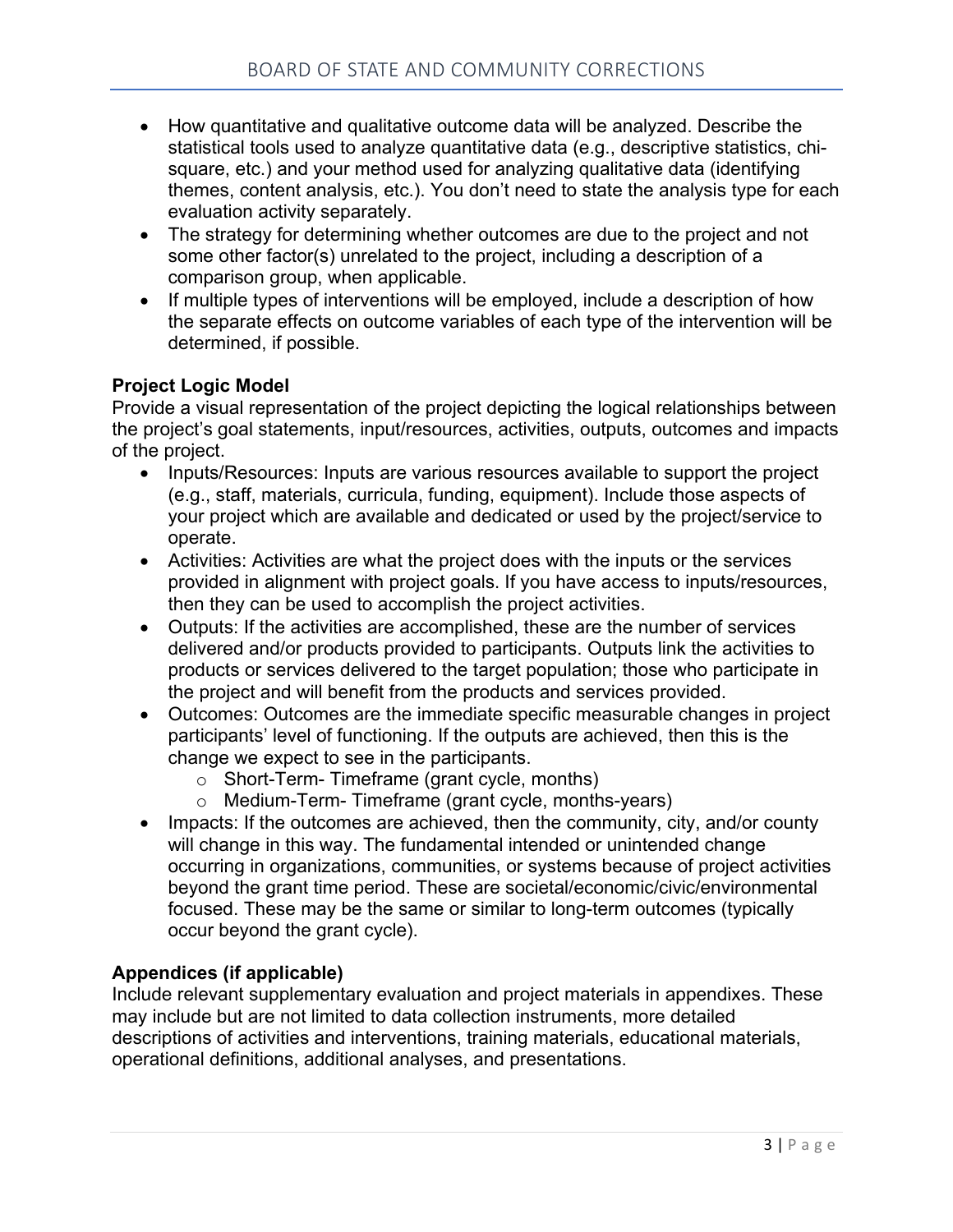- How quantitative and qualitative outcome data will be analyzed. Describe the statistical tools used to analyze quantitative data (e.g., descriptive statistics, chisquare, etc.) and your method used for analyzing qualitative data (identifying themes, content analysis, etc.). You don't need to state the analysis type for each evaluation activity separately.
- The strategy for determining whether outcomes are due to the project and not some other factor(s) unrelated to the project, including a description of a comparison group, when applicable.
- If multiple types of interventions will be employed, include a description of how the separate effects on outcome variables of each type of the intervention will be determined, if possible.

### **Project Logic Model**

Provide a visual representation of the project depicting the logical relationships between the project's goal statements, input/resources, activities, outputs, outcomes and impacts of the project.

- Inputs/Resources: Inputs are various resources available to support the project (e.g., staff, materials, curricula, funding, equipment). Include those aspects of your project which are available and dedicated or used by the project/service to operate.
- Activities: Activities are what the project does with the inputs or the services provided in alignment with project goals. If you have access to inputs/resources, then they can be used to accomplish the project activities.
- Outputs: If the activities are accomplished, these are the number of services delivered and/or products provided to participants. Outputs link the activities to products or services delivered to the target population; those who participate in the project and will benefit from the products and services provided.
- Outcomes: Outcomes are the immediate specific measurable changes in project participants' level of functioning. If the outputs are achieved, then this is the change we expect to see in the participants.
	- o Short-Term- Timeframe (grant cycle, months)
	- o Medium-Term- Timeframe (grant cycle, months-years)
- Impacts: If the outcomes are achieved, then the community, city, and/or county will change in this way. The fundamental intended or unintended change occurring in organizations, communities, or systems because of project activities beyond the grant time period. These are societal/economic/civic/environmental focused. These may be the same or similar to long-term outcomes (typically occur beyond the grant cycle).

# **Appendices (if applicable)**

Include relevant supplementary evaluation and project materials in appendixes. These may include but are not limited to data collection instruments, more detailed descriptions of activities and interventions, training materials, educational materials, operational definitions, additional analyses, and presentations.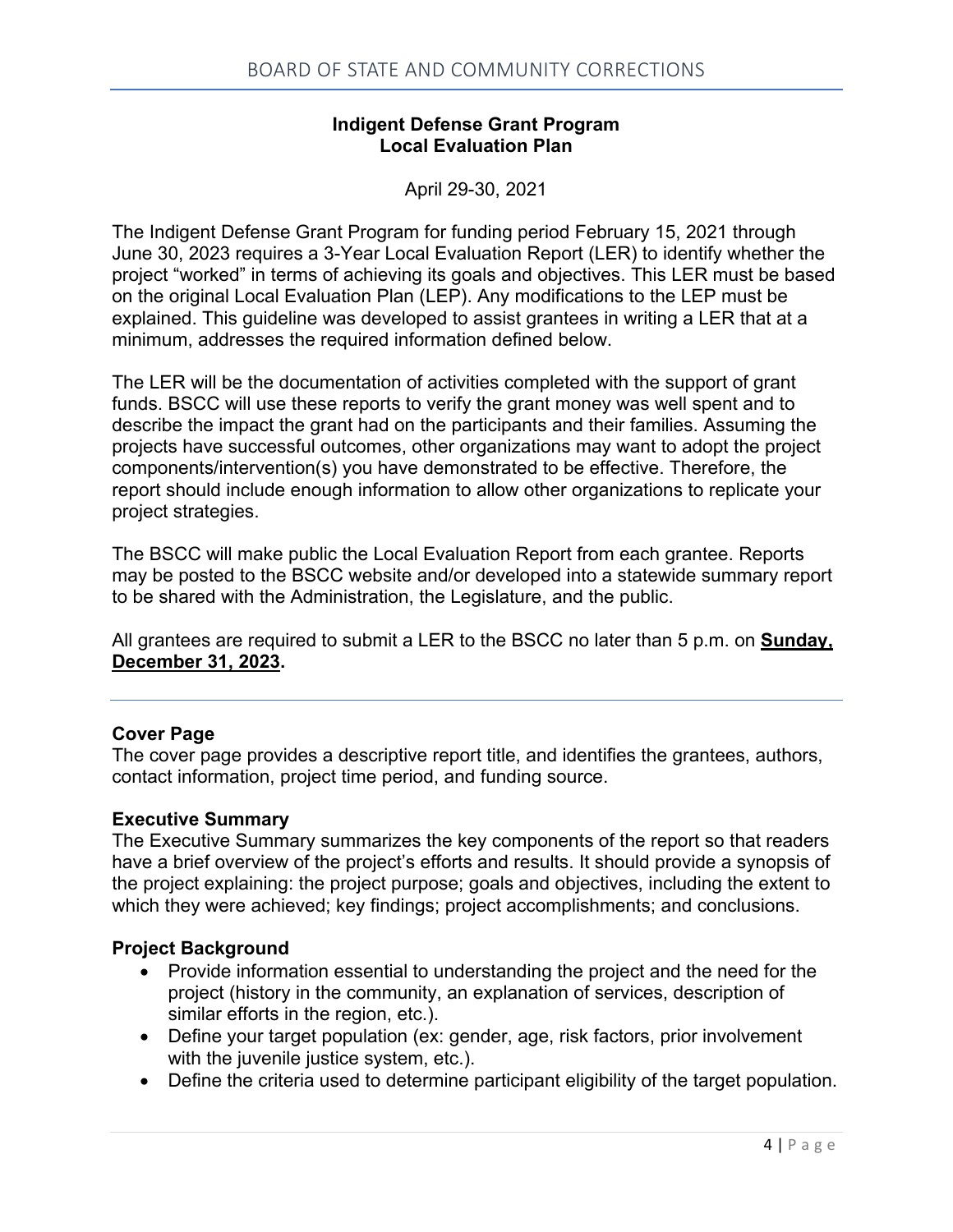### **Indigent Defense Grant Program Local Evaluation Plan**

April 29-30, 2021

The Indigent Defense Grant Program for funding period February 15, 2021 through June 30, 2023 requires a 3-Year Local Evaluation Report (LER) to identify whether the project "worked" in terms of achieving its goals and objectives. This LER must be based on the original Local Evaluation Plan (LEP). Any modifications to the LEP must be explained. This guideline was developed to assist grantees in writing a LER that at a minimum, addresses the required information defined below.

The LER will be the documentation of activities completed with the support of grant funds. BSCC will use these reports to verify the grant money was well spent and to describe the impact the grant had on the participants and their families. Assuming the projects have successful outcomes, other organizations may want to adopt the project components/intervention(s) you have demonstrated to be effective. Therefore, the report should include enough information to allow other organizations to replicate your project strategies.

The BSCC will make public the Local Evaluation Report from each grantee. Reports may be posted to the BSCC website and/or developed into a statewide summary report to be shared with the Administration, the Legislature, and the public.

All grantees are required to submit a LER to the BSCC no later than 5 p.m. on **Sunday, December 31, 2023.**

# **Cover Page**

The cover page provides a descriptive report title, and identifies the grantees, authors, contact information, project time period, and funding source.

#### **Executive Summary**

The Executive Summary summarizes the key components of the report so that readers have a brief overview of the project's efforts and results. It should provide a synopsis of the project explaining: the project purpose; goals and objectives, including the extent to which they were achieved; key findings; project accomplishments; and conclusions.

#### **Project Background**

- Provide information essential to understanding the project and the need for the project (history in the community, an explanation of services, description of similar efforts in the region, etc.).
- Define your target population (ex: gender, age, risk factors, prior involvement with the juvenile justice system, etc.).
- Define the criteria used to determine participant eligibility of the target population.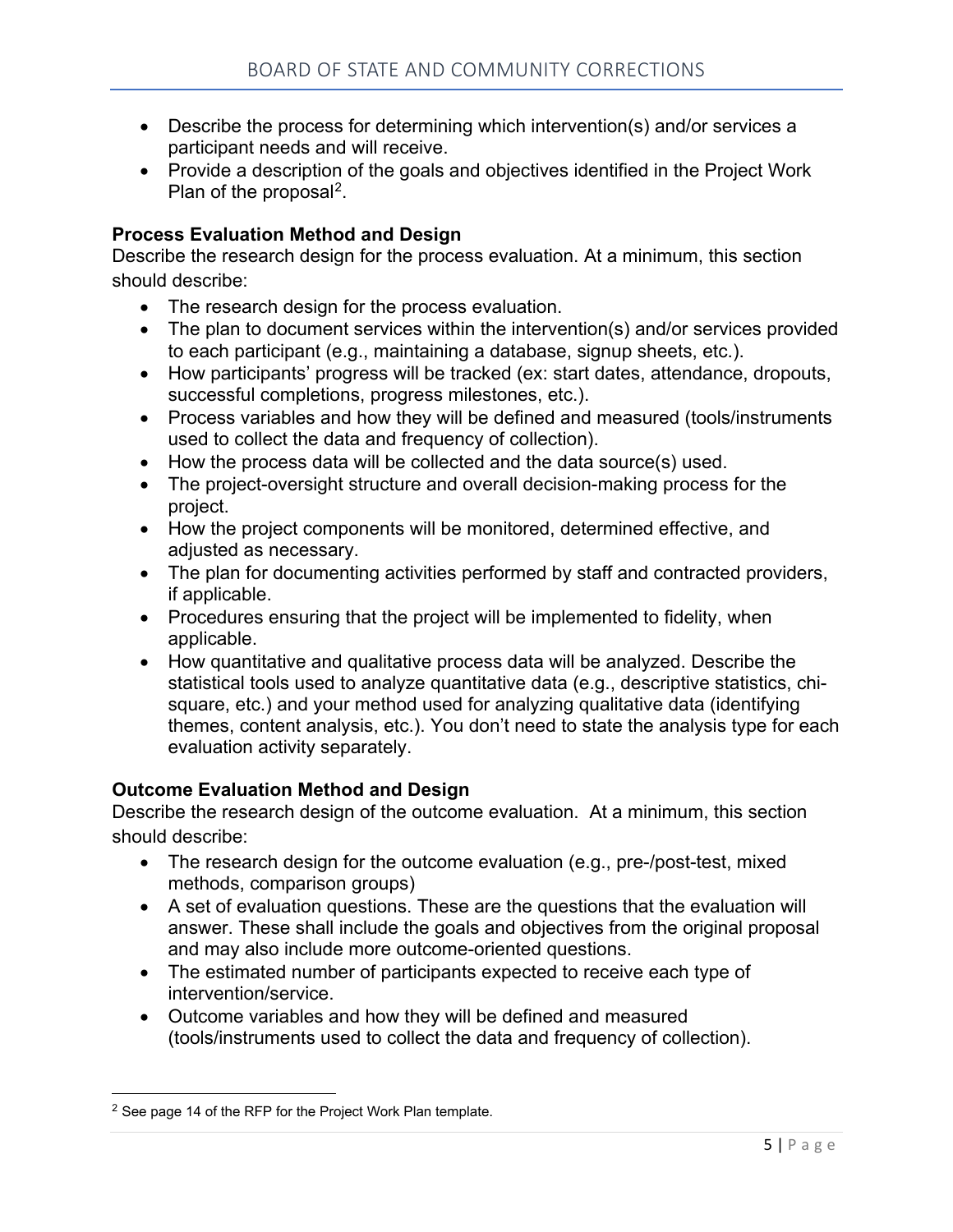- Describe the process for determining which intervention(s) and/or services a participant needs and will receive.
- Provide a description of the goals and objectives identified in the Project Work Plan of the proposal<sup>2</sup>.

# **Process Evaluation Method and Design**

Describe the research design for the process evaluation. At a minimum, this section should describe:

- The research design for the process evaluation.
- The plan to document services within the intervention(s) and/or services provided to each participant (e.g., maintaining a database, signup sheets, etc.).
- How participants' progress will be tracked (ex: start dates, attendance, dropouts, successful completions, progress milestones, etc.).
- Process variables and how they will be defined and measured (tools/instruments used to collect the data and frequency of collection).
- How the process data will be collected and the data source(s) used.
- The project-oversight structure and overall decision-making process for the project.
- How the project components will be monitored, determined effective, and adjusted as necessary.
- The plan for documenting activities performed by staff and contracted providers, if applicable.
- Procedures ensuring that the project will be implemented to fidelity, when applicable.
- How quantitative and qualitative process data will be analyzed. Describe the statistical tools used to analyze quantitative data (e.g., descriptive statistics, chisquare, etc.) and your method used for analyzing qualitative data (identifying themes, content analysis, etc.). You don't need to state the analysis type for each evaluation activity separately.

#### **Outcome Evaluation Method and Design**

Describe the research design of the outcome evaluation. At a minimum, this section should describe:

- The research design for the outcome evaluation (e.g., pre-/post-test, mixed methods, comparison groups)
- A set of evaluation questions. These are the questions that the evaluation will answer. These shall include the goals and objectives from the original proposal and may also include more outcome-oriented questions.
- The estimated number of participants expected to receive each type of intervention/service.
- Outcome variables and how they will be defined and measured (tools/instruments used to collect the data and frequency of collection).

<span id="page-4-0"></span><sup>&</sup>lt;sup>2</sup> See page 14 of the RFP for the Project Work Plan template.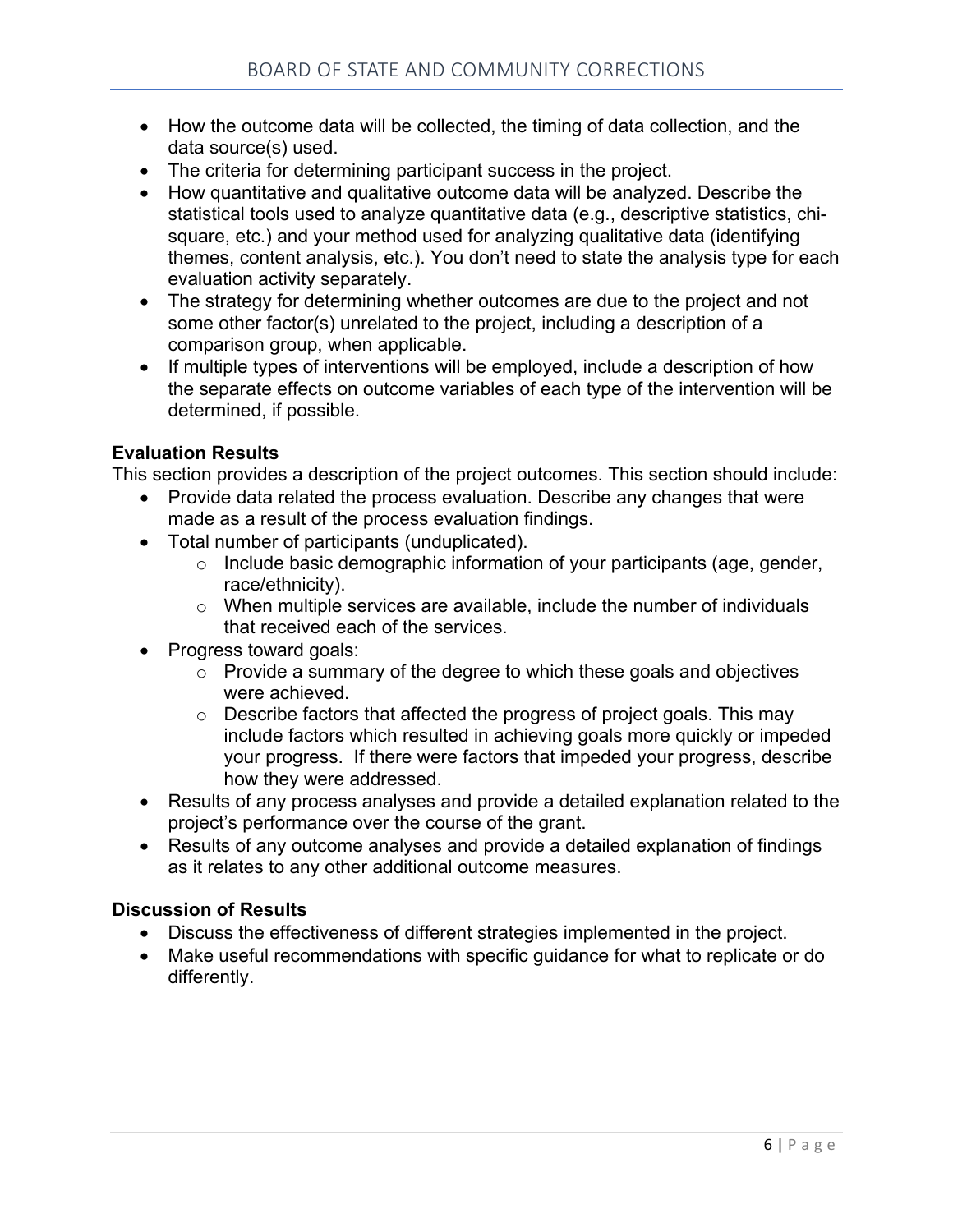- How the outcome data will be collected, the timing of data collection, and the data source(s) used.
- The criteria for determining participant success in the project.
- How quantitative and qualitative outcome data will be analyzed. Describe the statistical tools used to analyze quantitative data (e.g., descriptive statistics, chisquare, etc.) and your method used for analyzing qualitative data (identifying themes, content analysis, etc.). You don't need to state the analysis type for each evaluation activity separately.
- The strategy for determining whether outcomes are due to the project and not some other factor(s) unrelated to the project, including a description of a comparison group, when applicable.
- If multiple types of interventions will be employed, include a description of how the separate effects on outcome variables of each type of the intervention will be determined, if possible.

#### **Evaluation Results**

This section provides a description of the project outcomes. This section should include:

- Provide data related the process evaluation. Describe any changes that were made as a result of the process evaluation findings.
- Total number of participants (unduplicated).
	- o Include basic demographic information of your participants (age, gender, race/ethnicity).
	- $\circ$  When multiple services are available, include the number of individuals that received each of the services.
- Progress toward goals:
	- $\circ$  Provide a summary of the degree to which these goals and objectives were achieved.
	- $\circ$  Describe factors that affected the progress of project goals. This may include factors which resulted in achieving goals more quickly or impeded your progress. If there were factors that impeded your progress, describe how they were addressed.
- Results of any process analyses and provide a detailed explanation related to the project's performance over the course of the grant.
- Results of any outcome analyses and provide a detailed explanation of findings as it relates to any other additional outcome measures.

#### **Discussion of Results**

- Discuss the effectiveness of different strategies implemented in the project.
- Make useful recommendations with specific guidance for what to replicate or do differently.